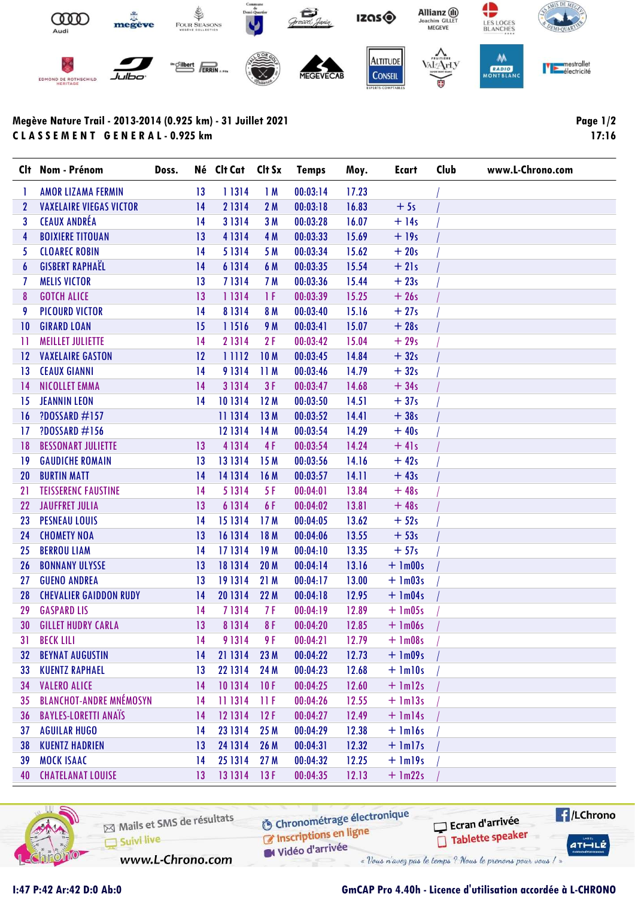

## Megève Nature Trail - 2013-2014 (0.925 km) - 31 Juillet 2021 C L A S S E M E N T G E N E R A L - 0.925 km

Page 1/2 17:16

|                 | Clt Nom - Prénom               | Doss. | Né Clt Cat | Clt Sx          | <b>Temps</b> | Moy.  | Ecart            | Club | www.L-Chrono.com |
|-----------------|--------------------------------|-------|------------|-----------------|--------------|-------|------------------|------|------------------|
| 1               | <b>AMOR LIZAMA FERMIN</b>      | 13    | 11314      | 1M              | 00:03:14     | 17.23 |                  |      |                  |
| $\mathbf{2}$    | <b>VAXELAIRE VIEGAS VICTOR</b> | 14    | 21314      | 2 M             | 00:03:18     | 16.83 | $+5s$            |      |                  |
| 3               | <b>CEAUX ANDRÉA</b>            | 14    | 3 1 3 1 4  | 3M              | 00:03:28     | 16.07 | $+14s$           |      |                  |
| 4               | <b>BOIXIERE TITOUAN</b>        | 13    | 4 13 14    | 4 M             | 00:03:33     | 15.69 | $+19s$           |      |                  |
| 5               | <b>CLOAREC ROBIN</b>           | 14    | 51314      | 5 M             | 00:03:34     | 15.62 | $+20s$           |      |                  |
| 6               | <b>GISBERT RAPHAËL</b>         | 14    | 6 13 14    | 6 M             | 00:03:35     | 15.54 | $+21s$           |      |                  |
| 7               | <b>MELIS VICTOR</b>            | 13    | 71314      | 7 M             | 00:03:36     | 15.44 | $+23s$           |      |                  |
| 8               | <b>GOTCH ALICE</b>             | 13    | 11314      | 1 F             | 00:03:39     | 15.25 | $+26s$           |      |                  |
| 9               | <b>PICOURD VICTOR</b>          | 14    | 81314      | 8 M             | 00:03:40     | 15.16 | $+27s$           |      |                  |
| 10              | <b>GIRARD LOAN</b>             | 15    | 11516      | 9 M             | 00:03:41     | 15.07 | $+28s$           |      |                  |
| П               | <b>MEILLET JULIETTE</b>        | 14    | 21314      | 2F              | 00:03:42     | 15.04 | $+29s$           |      |                  |
| 12              | <b>VAXELAIRE GASTON</b>        | 12    | 11112      | 10 <sub>M</sub> | 00:03:45     | 14.84 | $+32s$           |      |                  |
| $\overline{13}$ | <b>CEAUX GIANNI</b>            | 14    | 91314      | 11 M            | 00:03:46     | 14.79 | $+32s$           |      |                  |
| 14              | NICOLLET EMMA                  | 14    | 3 1 3 1 4  | 3F              | 00:03:47     | 14.68 | $+34s$           |      |                  |
| 15              | <b>JEANNIN LEON</b>            | 14    | 101314     | 12M             | 00:03:50     | 14.51 | $+37s$           |      |                  |
| 16              | <b>?DOSSARD #157</b>           |       | 11 13 14   | 13 M            | 00:03:52     | 14.41 | $+38s$           |      |                  |
| 17              | ?DOSSARD #156                  |       | 12 13 14   | 14 M            | 00:03:54     | 14.29 | $+40s$           |      |                  |
| 18              | <b>BESSONART JULIETTE</b>      | 13    | 41314      | 4F              | 00:03:54     | 14.24 | $+41s$           |      |                  |
| 19              | <b>GAUDICHE ROMAIN</b>         | 13    | 131314     | 15 M            | 00:03:56     | 14.16 | $+42s$           |      |                  |
| 20              | <b>BURTIN MATT</b>             | 14    | 14 13 14   | 16 M            | 00:03:57     | 14.11 | $+43s$           |      |                  |
| 21              | <b>TEISSERENC FAUSTINE</b>     | 14    | 5 13 14    | 5F              | 00:04:01     | 13.84 | $+48s$           |      |                  |
| 22              | <b>JAUFFRET JULIA</b>          | 13    | 6 13 14    | 6F              | 00:04:02     | 13.81 | $+48s$           |      |                  |
| 23              | <b>PESNEAU LOUIS</b>           | 14    | 15 13 14   | 17 <sub>M</sub> | 00:04:05     | 13.62 | $+52s$           |      |                  |
| 24              | <b>CHOMETY NOA</b>             | 13    | 16 13 14   | 18 M            | 00:04:06     | 13.55 | $+53s$           |      |                  |
| 25              | <b>BERROU LIAM</b>             | 14    | 171314     | 19 M            | 00:04:10     | 13.35 | $+57s$           |      |                  |
| 26              | <b>BONNANY ULYSSE</b>          | 13    | 18 13 14   | 20 M            | 00:04:14     | 13.16 | $+$ 1m00s        |      |                  |
| 27              | <b>GUENO ANDREA</b>            | 13    | 19 13 14   | 21 M            | 00:04:17     | 13.00 | $+ \text{lm03s}$ |      |                  |
| 28              | <b>CHEVALIER GAIDDON RUDY</b>  | 14    | 20 13 14   | 22 M            | 00:04:18     | 12.95 | $+$ 1m04s        |      |                  |
| 29              | <b>GASPARD LIS</b>             | 14    | 71314      | 7 F             | 00:04:19     | 12.89 | $+$ 1m05s        |      |                  |
| 30              | <b>GILLET HUDRY CARLA</b>      | 13    | 8 13 14    | 8F              | 00:04:20     | 12.85 | $+$ 1m06s        |      |                  |
| 31              | <b>BECK LILI</b>               | 14    | 91314      | 9 F             | 00:04:21     | 12.79 | $+$ 1m08s        |      |                  |
| 32              | <b>BEYNAT AUGUSTIN</b>         | 14    | 21 13 14   | 23 M            | 00:04:22     | 12.73 | $+$ 1m09s        |      |                  |
| 33              | <b>KUENTZ RAPHAEL</b>          | 13    | 22 13 14   | 24 M            | 00:04:23     | 12.68 | $+$ $lm10s$      |      |                  |
| 34              | <b>VALERO ALICE</b>            | 14    | 10 13 14   | 10F             | 00:04:25     | 12.60 | $+$ $lm12s$      |      |                  |
| 35              | <b>BLANCHOT-ANDRE MNÉMOSYN</b> | 14    | 11 13 14   | 11F             | 00:04:26     | 12.55 | $+$ $lm13s$      |      |                  |
| 36              | <b>BAYLES-LORETTI ANAÏS</b>    | 14    | 12 13 14   | 12F             | 00:04:27     | 12.49 | $+$ $lm14s$      |      |                  |
| 37              | <b>AGUILAR HUGO</b>            | 14    | 23 13 14   | 25 M            | 00:04:29     | 12.38 | $+$ $lm16s$      |      |                  |
| 38              | <b>KUENTZ HADRIEN</b>          | 13    | 24 13 14   | 26 M            | 00:04:31     | 12.32 | $+$ $lm17s$      |      |                  |
| 39              | <b>MOCK ISAAC</b>              | 14    | 25 13 14   | 27M             | 00:04:32     | 12.25 | $+$ $lm19s$      |      |                  |
| 40              | <b>CHATELANAT LOUISE</b>       | 13    | 131314     | 13F             | 00:04:35     | 12.13 | $+$ 1m22s        |      |                  |



Mails et SMS de résultats Inscriptions en ligne  $\Box$  Suivi live Widéo d'arrivée www.L-Chrono.com

**6** Chronométrage électronique

« Vous n'avez pas le temps ? Nous le prenons pour vous / »

**E**/LChrono Ecran d'arrivée Tablette speaker  $ATHLLE$ 

## I:47 P:42 Ar:42 D:0 Ab:0 GmCAP Pro 4.40h - Licence d'utilisation accordée à L-CHRONO